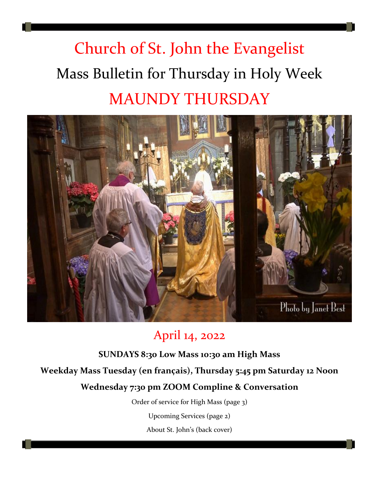# Church of St. John the Evangelist Mass Bulletin for Thursday in Holy Week MAUNDY THURSDAY



## April 14, 2022

**SUNDAYS 8:30 Low Mass 10:30 am High Mass Weekday Mass Tuesday (en français), Thursday 5:45 pm Saturday 12 Noon Wednesday 7:30 pm ZOOM Compline & Conversation** Order of service for High Mass (page 3) Upcoming Services (page 2)

About St. John's (back cover)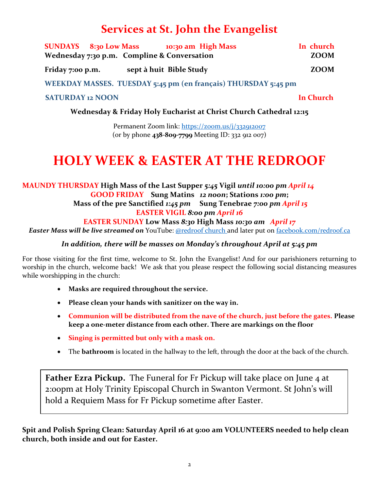## **Services at St. John the Evangelist**

|                  | <b>SUNDAYS</b> 8:30 Low Mass | 10:30 am High Mass                          | In church   |
|------------------|------------------------------|---------------------------------------------|-------------|
|                  |                              | Wednesday 7:30 p.m. Compline & Conversation | <b>ZOOM</b> |
| Friday 7:00 p.m. |                              | sept à huit Bible Study                     | ZOOM        |

**WEEKDAY MASSES. TUESDAY 5:45 pm (en français) THURSDAY 5:45 pm** 

#### **SATURDAY 12 NOON In Church**

**Wednesday & Friday Holy Eucharist at Christ Church Cathedral 12:15**

Permanent Zoom link:<https://zoom.us/j/332912007> (or by phone **438-809-7799** Meeting ID: 332 912 007)

## **HOLY WEEK & EASTER AT THE REDROOF**

### **MAUNDY THURSDAY High Mass of the Last Supper** *5:45* **Vigil** *until 10:00 pm April 14* **GOOD FRIDAY Sung Matins** *12 noon***; Stations** *1:00 pm***;**

**Mass of the pre Sanctified** *1:45 pm* **Sung Tenebrae** *7:00 pm April 15* **EASTER VIGIL** *8:00 pm April 16*

**EASTER SUNDAY Low Mass** *8:30* **High Mass** *10:30 am April 17*

*Easter Mass will be live streamed on* YouTube: [@redroof church](https://www.youtube.com/channel/UCwbXGa7DEPvTyeBjEdoqT1w) and later put on [facebook.com/redroof.ca](https://www.facebook.com/redroof.ca)

#### *In addition, there will be masses on Monday's throughout April at 5:45 pm*

For those visiting for the first time, welcome to St. John the Evangelist! And for our parishioners returning to worship in the church, welcome back! We ask that you please respect the following social distancing measures while worshipping in the church:

- **Masks are required throughout the service.**
- **Please clean your hands with sanitizer on the way in.**
- **Communion will be distributed from the nave of the church, just before the gates. Please keep a one-meter distance from each other. There are markings on the floor**
- **Singing is permitted but only with a mask on.**
- The **bathroom** is located in the hallway to the left, through the door at the back of the church.

**Father Ezra Pickup.** The Funeral for Fr Pickup will take place on June 4 at 2:00pm at Holy Trinity Episcopal Church in Swanton Vermont. St John's will hold a Requiem Mass for Fr Pickup sometime after Easter.

**Spit and Polish Spring Clean: Saturday April 16 at 9:00 am VOLUNTEERS needed to help clean church, both inside and out for Easter.**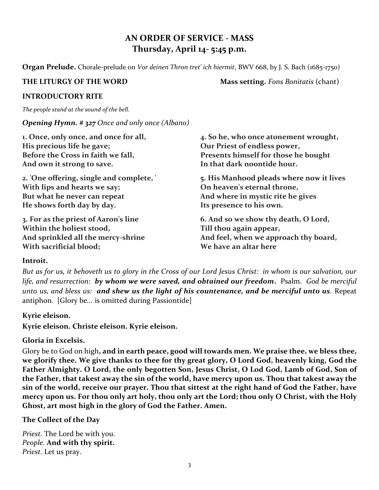### **AN ORDER OF SERVICE - MASS Thursday, April 14- 5:45 p.m.**

**Organ Prelude.** Chorale-prelude on *Vor deinen Thron tret' ich hiermit*, BWV 668, by J. S. Bach (1685-1750)

**THE LITURGY OF THE WORD Mass setting.** *Fons Bonitatis* (chant)

#### **INTRODUCTORY RITE**

*The people stand at the sound of the bell.*

#### *Opening Hymn. # 327 Once and only once (Albano)*

| 1. Once, only once, and once for all,    | 4. So he, who once atonement wrought,    |
|------------------------------------------|------------------------------------------|
| His precious life he gave;               | Our Priest of endless power,             |
| Before the Cross in faith we fall,       | Presents himself for those he bought     |
| And own it strong to save.               | In that dark noontide hour.              |
| 2. 'One offering, single and complete, ' | 5. His Manhood pleads where now it lives |
| With lips and hearts we say;             | On heaven's eternal throne,              |
| But what he never can repeat             | And where in mystic rite he gives        |
| He shows forth day by day.               | Its presence to his own.                 |
| 3. For as the priest of Aaron's line     | 6. And so we show thy death, O Lord,     |
| Within the holiest stood,                | Till thou again appear,                  |
| And sprinkled all the mercy-shrine       | And feel, when we approach thy board,    |
| With sacrificial blood;                  | We have an altar here                    |

#### **Introit.**

*But as for us, it behoveth us to glory in the Cross of our Lord Jesus Christ: in whom is our salvation, our life, and resurrection: by whom we were saved, and obtained our freedom***.** Psalm.*God be merciful unto us, and bless us: and shew us the light of his countenance, and be merciful unto us.* Repeat antiphon. [Glory be*...* is omitted during Passiontide]

#### **Kyrie eleison.**

**Kyrie eleison. Christe eleison. Kyrie eleison.**

#### **Gloria in Excelsis.**

Glory be to God on high**, and in earth peace, good will towards men. We praise thee, we bless thee,** we glorify thee. We give thanks to thee for thy great glory, O Lord God, heavenly king, God the **Father Almighty. O Lord, the only begotten Son, Jesus Christ, O Lod God, Lamb of God, Son of** the Father, that takest away the sin of the world, have mercy upon us. Thou that takest away the sin of the world, receive our prayer. Thou that sittest at the right hand of God the Father, have mercy upon us. For thou only art holy, thou only art the Lord; thou only O Christ, with the Holy **Ghost, art most high in the glory of God the Father. Amen.**

#### **The Collect of the Day**

*Priest.* The Lord be with you. *People.* **And with thy spirit.** *Priest.* Let us pray.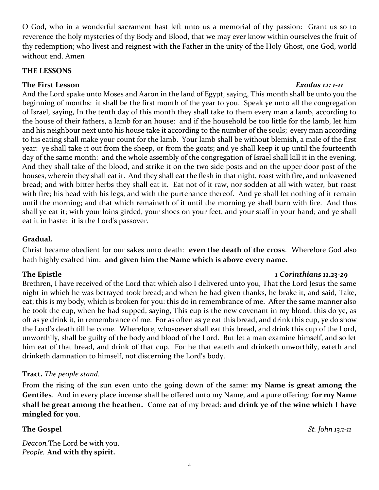O God, who in a wonderful sacrament hast left unto us a memorial of thy passion: Grant us so to reverence the holy mysteries of thy Body and Blood, that we may ever know within ourselves the fruit of thy redemption; who livest and reignest with the Father in the unity of the Holy Ghost, one God, world without end. Amen

#### **THE LESSONS**

#### **The First Lesson** *Exodus 12: 1-11*

And the Lord spake unto Moses and Aaron in the land of Egypt, saying, This month shall be unto you the beginning of months: it shall be the first month of the year to you. Speak ye unto all the congregation of Israel, saying, In the tenth day of this month they shall take to them every man a lamb, according to the house of their fathers, a lamb for an house: and if the household be too little for the lamb, let him and his neighbour next unto his house take it according to the number of the souls; every man according to his eating shall make your count for the lamb. Your lamb shall be without blemish, a male of the first year: ye shall take it out from the sheep, or from the goats; and ye shall keep it up until the fourteenth day of the same month: and the whole assembly of the congregation of Israel shall kill it in the evening. And they shall take of the blood, and strike it on the two side posts and on the upper door post of the houses, wherein they shall eat it. And they shall eat the flesh in that night, roast with fire, and unleavened bread; and with bitter herbs they shall eat it. Eat not of it raw, nor sodden at all with water, but roast with fire; his head with his legs, and with the purtenance thereof. And ye shall let nothing of it remain until the morning; and that which remaineth of it until the morning ye shall burn with fire. And thus shall ye eat it; with your loins girded, your shoes on your feet, and your staff in your hand; and ye shall eat it in haste: it is the Lord's passover.

### **Gradual.**

Christ became obedient for our sakes unto death: **even the death of the cross**. Wherefore God also hath highly exalted him: **and given him the Name which is above every name.**

#### **The Epistle** *1 Corinthians 11.23-29*

Brethren, I have received of the Lord that which also I delivered unto you, That the Lord Jesus the same night in which he was betrayed took bread; and when he had given thanks, he brake it, and said, Take, eat; this is my body, which is broken for you: this do in remembrance of me. After the same manner also he took the cup, when he had supped, saying, This cup is the new covenant in my blood: this do ye, as oft as ye drink it, in remembrance of me. For as often as ye eat this bread, and drink this cup, ye do show the Lord's death till he come. Wherefore, whosoever shall eat this bread, and drink this cup of the Lord, unworthily, shall be guilty of the body and blood of the Lord. But let a man examine himself, and so let him eat of that bread, and drink of that cup. For he that eateth and drinketh unworthily, eateth and drinketh damnation to himself, not discerning the Lord's body.

#### **Tract.** *The people stand.*

From the rising of the sun even unto the going down of the same: **my Name is great among the Gentiles**. And in every place incense shall be offered unto my Name, and a pure offering: **for my Name shall be great among the heathen.** Come eat of my bread: **and drink ye of the wine which I have mingled for you**.

*Deacon.*The Lord be with you. *People.* **And with thy spirit.**

**The Gospel** *St. John 13:1-11*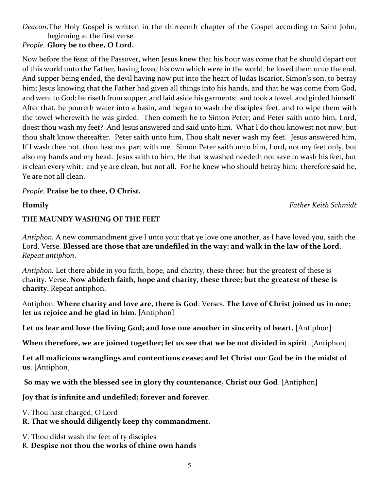*Deacon.*The Holy Gospel is written in the thirteenth chapter of the Gospel according to Saint John, beginning at the first verse.

*People.* **Glory be to thee, O Lord.** 

Now before the feast of the Passover, when Jesus knew that his hour was come that he should depart out of this world unto the Father, having loved his own which were in the world, he loved them unto the end. And supper being ended, the devil having now put into the heart of Judas Iscariot, Simon's son, to betray him; Jesus knowing that the Father had given all things into his hands, and that he was come from God, and went to God; he riseth from supper, and laid aside his garments: and took a towel, and girded himself. After that, he poureth water into a basin, and began to wash the disciples' feet, and to wipe them with the towel wherewith he was girded. Then cometh he to Simon Peter; and Peter saith unto him, Lord, doest thou wash my feet? And Jesus answered and said unto him. What I do thou knowest not now; but thou shalt know thereafter. Peter saith unto him, Thou shalt never wash my feet. Jesus answered him, If I wash thee not, thou hast not part with me. Simon Peter saith unto him, Lord, not my feet only, but also my hands and my head. Jesus saith to him, He that is washed needeth not save to wash his feet, but is clean every whit: and ye are clean, but not all. For he knew who should betray him: therefore said he, Ye are not all clean.

#### *People.* **Praise be to thee, O Christ.**

**Homily** *Father Keith Schmidt*

#### **THE MAUNDY WASHING OF THE FEET**

*Antiphon.* A new commandment give I unto you: that ye love one another, as I have loved you, saith the Lord. Verse. **Blessed are those that are undefiled in the way: and walk in the law of the Lord**. *Repeat antiphon*.

*Antiphon.* Let there abide in you faith, hope, and charity, these three: but the greatest of these is charity. Verse. **Now abideth faith, hope and charity, these three; but the greatest of these is charity**. Repeat antiphon.

Antiphon. **Where charity and love are, there is God**. Verses. **The Love of Christ joined us in one; let us rejoice and be glad in him**. [Antiphon]

**Let us fear and love the living God; and love one another in sincerity of heart.** [Antiphon]

**When therefore, we are joined together; let us see that we be not divided in spirit**. [Antiphon]

**Let all malicious wranglings and contentions cease; and let Christ our God be in the midst of us**. [Antiphon]

**So may we with the blessed see in glory thy countenance, Christ our God**. [Antiphon]

**Joy that is infinite and undefiled; forever and forever**.

V. Thou hast charged, O Lord

**R. That we should diligently keep thy commandment.**

V. Thou didst wash the feet of ty disciples

R. **Despise not thou the works of thine own hands**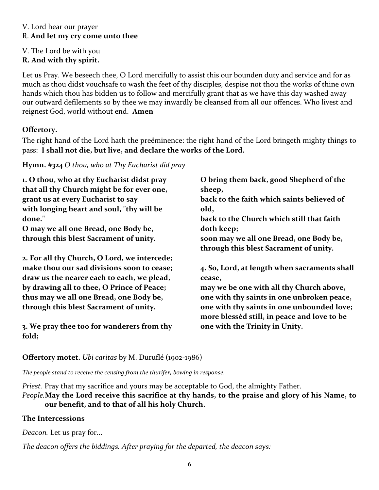#### V. Lord hear our prayer R. **And let my cry come unto thee**

V. The Lord be with you

**R. And with thy spirit.**

Let us Pray. We beseech thee, O Lord mercifully to assist this our bounden duty and service and for as much as thou didst vouchsafe to wash the feet of thy disciples, despise not thou the works of thine own hands which thou has bidden us to follow and mercifully grant that as we have this day washed away our outward defilements so by thee we may inwardly be cleansed from all our offences. Who livest and reignest God, world without end. **Amen**

### **Offertory.**

The right hand of the Lord hath the preëminence: the right hand of the Lord bringeth mighty things to pass: **I shall not die, but live, and declare the works of the Lord.**

**Hymn. #324** *O thou, who at Thy Eucharist did pray*

| 1. O thou, who at thy Eucharist didst pray   | O bring them back, good Shepherd of the      |
|----------------------------------------------|----------------------------------------------|
| that all thy Church might be for ever one,   | sheep,                                       |
| grant us at every Eucharist to say           | back to the faith which saints believed of   |
| with longing heart and soul, "thy will be    | old,                                         |
| done."                                       | back to the Church which still that faith    |
| O may we all one Bread, one Body be,         | doth keep;                                   |
| through this blest Sacrament of unity.       | soon may we all one Bread, one Body be,      |
|                                              | through this blest Sacrament of unity.       |
| 2. For all thy Church, O Lord, we intercede; |                                              |
| make thou our sad divisions soon to cease;   | 4. So, Lord, at length when sacraments shall |
| draw us the nearer each to each, we plead,   | cease,                                       |
| by drawing all to thee, O Prince of Peace;   | may we be one with all thy Church above,     |
| thus may we all one Bread, one Body be,      | one with thy saints in one unbroken peace,   |
| through this blest Sacrament of unity.       | one with thy saints in one unbounded love;   |
|                                              | more blessed still, in peace and love to be  |
| 3. We pray thee too for wanderers from thy   | one with the Trinity in Unity.               |
| fold;                                        |                                              |

**Offertory motet.** *Ubi caritas* by M. Duruflé (1902-1986)

*The people stand to receive the censing from the thurifer, bowing in response.*

*Priest.* Pray that my sacrifice and yours may be acceptable to God, the almighty Father. *People.***May the Lord receive this sacrifice at thy hands, to the praise and glory of his Name, to our benefit, and to that of all his holy Church.**

#### **The Intercessions**

*Deacon.* Let us pray for...

*The deacon offers the biddings. After praying for the departed, the deacon says:*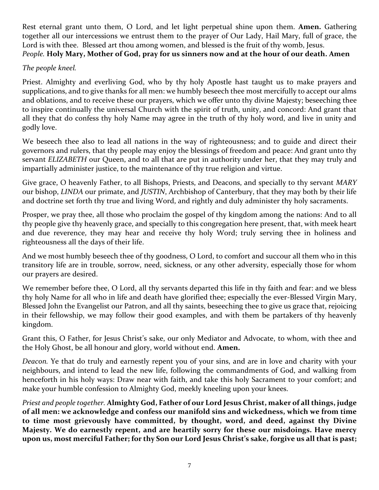Rest eternal grant unto them, O Lord, and let light perpetual shine upon them. **Amen.** Gathering together all our intercessions we entrust them to the prayer of Our Lady, Hail Mary, full of grace, the Lord is with thee. Blessed art thou among women, and blessed is the fruit of thy womb, Jesus. *People.* **Holy Mary, Mother of God, pray for us sinners now and at the hour of our death. Amen**

#### *The people kneel.*

Priest. Almighty and everliving God, who by thy holy Apostle hast taught us to make prayers and supplications, and to give thanks for all men: we humbly beseech thee most mercifully to accept our alms and oblations, and to receive these our prayers, which we offer unto thy divine Majesty; beseeching thee to inspire continually the universal Church with the spirit of truth, unity, and concord: And grant that all they that do confess thy holy Name may agree in the truth of thy holy word, and live in unity and godly love.

We beseech thee also to lead all nations in the way of righteousness; and to guide and direct their governors and rulers, that thy people may enjoy the blessings of freedom and peace: And grant unto thy servant *ELIZABETH* our Queen, and to all that are put in authority under her, that they may truly and impartially administer justice, to the maintenance of thy true religion and virtue.

Give grace, O heavenly Father, to all Bishops, Priests, and Deacons, and specially to thy servant *MARY*  our bishop, *LINDA* our primate, and *JUSTIN*, Archbishop of Canterbury, that they may both by their life and doctrine set forth thy true and living Word, and rightly and duly administer thy holy sacraments.

Prosper, we pray thee, all those who proclaim the gospel of thy kingdom among the nations: And to all thy people give thy heavenly grace, and specially to this congregation here present, that, with meek heart and due reverence, they may hear and receive thy holy Word; truly serving thee in holiness and righteousness all the days of their life.

And we most humbly beseech thee of thy goodness, O Lord, to comfort and succour all them who in this transitory life are in trouble, sorrow, need, sickness, or any other adversity, especially those for whom our prayers are desired.

We remember before thee, O Lord, all thy servants departed this life in thy faith and fear: and we bless thy holy Name for all who in life and death have glorified thee; especially the ever-Blessed Virgin Mary, Blessed John the Evangelist our Patron, and all thy saints, beseeching thee to give us grace that, rejoicing in their fellowship, we may follow their good examples, and with them be partakers of thy heavenly kingdom.

Grant this, O Father, for Jesus Christ's sake, our only Mediator and Advocate, to whom, with thee and the Holy Ghost, be all honour and glory, world without end. **Amen.**

*Deacon.* Ye that do truly and earnestly repent you of your sins, and are in love and charity with your neighbours, and intend to lead the new life, following the commandments of God, and walking from henceforth in his holy ways: Draw near with faith, and take this holy Sacrament to your comfort; and make your humble confession to Almighty God, meekly kneeling upon your knees.

*Priest and people together.* **Almighty God, Father of our Lord Jesus Christ, maker of all things, judge of all men: we acknowledge and confess our manifold sins and wickedness, which we from time to time most grievously have committed, by thought, word, and deed, against thy Divine Majesty. We do earnestly repent, and are heartily sorry for these our misdoings. Have mercy upon us, most merciful Father; for thy Son our Lord Jesus Christ's sake, forgive us all that is past;**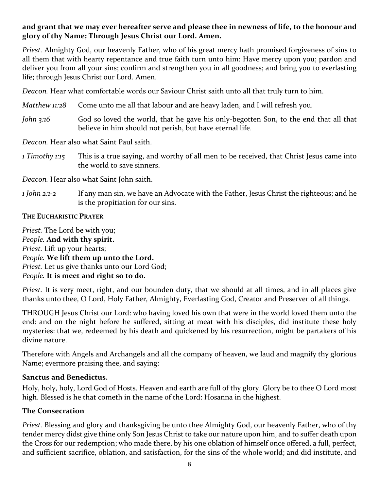#### **and grant that we may ever hereafter serve and please thee in newness of life, to the honour and glory of thy Name; Through Jesus Christ our Lord. Amen.**

*Priest.* Almighty God, our heavenly Father, who of his great mercy hath promised forgiveness of sins to all them that with hearty repentance and true faith turn unto him: Have mercy upon you; pardon and deliver you from all your sins; confirm and strengthen you in all goodness; and bring you to everlasting life; through Jesus Christ our Lord. Amen.

*Deacon.* Hear what comfortable words our Saviour Christ saith unto all that truly turn to him.

- *Matthew 11:28* Come unto me all that labour and are heavy laden, and I will refresh you.
- *John* 3:16 God so loved the world, that he gave his only-begotten Son, to the end that all that believe in him should not perish, but have eternal life.

*Deacon.* Hear also what Saint Paul saith.

*1 Timothy 1:15* This is a true saying, and worthy of all men to be received, that Christ Jesus came into the world to save sinners.

*Deacon.* Hear also what Saint John saith.

*1 John 2:1-2* If any man sin, we have an Advocate with the Father, Jesus Christ the righteous; and he is the propitiation for our sins.

#### **THE EUCHARISTIC PRAYER**

*Priest.* The Lord be with you; *People.* **And with thy spirit.** *Priest.* Lift up your hearts; *People.* **We lift them up unto the Lord.** *Priest.* Let us give thanks unto our Lord God; *People.* **It is meet and right so to do.**

*Priest.* It is very meet, right, and our bounden duty, that we should at all times, and in all places give thanks unto thee, O Lord, Holy Father, Almighty, Everlasting God, Creator and Preserver of all things.

THROUGH Jesus Christ our Lord: who having loved his own that were in the world loved them unto the end: and on the night before he suffered, sitting at meat with his disciples, did institute these holy mysteries: that we, redeemed by his death and quickened by his resurrection, might be partakers of his divine nature.

Therefore with Angels and Archangels and all the company of heaven, we laud and magnify thy glorious Name; evermore praising thee, and saying:

#### **Sanctus and Benedictus.**

Holy, holy, holy, Lord God of Hosts. Heaven and earth are full of thy glory. Glory be to thee O Lord most high. Blessed is he that cometh in the name of the Lord: Hosanna in the highest.

#### **The Consecration**

*Priest.* Blessing and glory and thanksgiving be unto thee Almighty God, our heavenly Father, who of thy tender mercy didst give thine only Son Jesus Christ to take our nature upon him, and to suffer death upon the Cross for our redemption; who made there, by his one oblation of himself once offered, a full, perfect, and sufficient sacrifice, oblation, and satisfaction, for the sins of the whole world; and did institute, and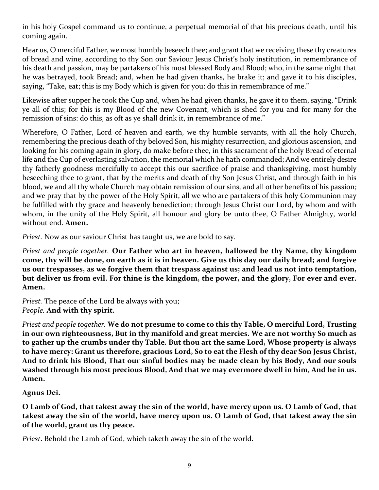in his holy Gospel command us to continue, a perpetual memorial of that his precious death, until his coming again.

Hear us, O merciful Father, we most humbly beseech thee; and grant that we receiving these thy creatures of bread and wine, according to thy Son our Saviour Jesus Christ's holy institution, in remembrance of his death and passion, may be partakers of his most blessed Body and Blood; who, in the same night that he was betrayed, took Bread; and, when he had given thanks, he brake it; and gave it to his disciples, saying, "Take, eat; this is my Body which is given for you: do this in remembrance of me."

Likewise after supper he took the Cup and, when he had given thanks, he gave it to them, saying, "Drink ye all of this; for this is my Blood of the new Covenant, which is shed for you and for many for the remission of sins: do this, as oft as ye shall drink it, in remembrance of me."

Wherefore, O Father, Lord of heaven and earth, we thy humble servants, with all the holy Church, remembering the precious death of thy beloved Son, his mighty resurrection, and glorious ascension, and looking for his coming again in glory, do make before thee, in this sacrament of the holy Bread of eternal life and the Cup of everlasting salvation, the memorial which he hath commanded; And we entirely desire thy fatherly goodness mercifully to accept this our sacrifice of praise and thanksgiving, most humbly beseeching thee to grant, that by the merits and death of thy Son Jesus Christ, and through faith in his blood, we and all thy whole Church may obtain remission of our sins, and all other benefits of his passion; and we pray that by the power of the Holy Spirit, all we who are partakers of this holy Communion may be fulfilled with thy grace and heavenly benediction; through Jesus Christ our Lord, by whom and with whom, in the unity of the Holy Spirit, all honour and glory be unto thee, O Father Almighty, world without end. **Amen.**

*Priest.* Now as our saviour Christ has taught us, we are bold to say.

*Priest and people together.* **Our Father who art in heaven, hallowed be thy Name, thy kingdom come, thy will be done, on earth as it is in heaven. Give us this day our daily bread; and forgive us our trespasses, as we forgive them that trespass against us; and lead us not into temptation, but deliver us from evil. For thine is the kingdom, the power, and the glory, For ever and ever. Amen.**

*Priest.* The peace of the Lord be always with you; *People.* **And with thy spirit.**

*Priest and people together.* **We do not presume to come to this thy Table, O merciful Lord, Trusting in our own righteousness, But in thy manifold and great mercies. We are not worthy So much as to gather up the crumbs under thy Table. But thou art the same Lord, Whose property is always to have mercy: Grant us therefore, gracious Lord, So to eat the Flesh of thy dear Son Jesus Christ, And to drink his Blood, That our sinful bodies may be made clean by his Body, And our souls washed through his most precious Blood, And that we may evermore dwell in him, And he in us. Amen.**

**Agnus Dei.**

O Lamb of God, that takest away the sin of the world, have mercy upon us. O Lamb of God, that takest away the sin of the world, have mercy upon us. O Lamb of God, that takest away the sin **of the world, grant us thy peace.**

*Priest*. Behold the Lamb of God, which taketh away the sin of the world.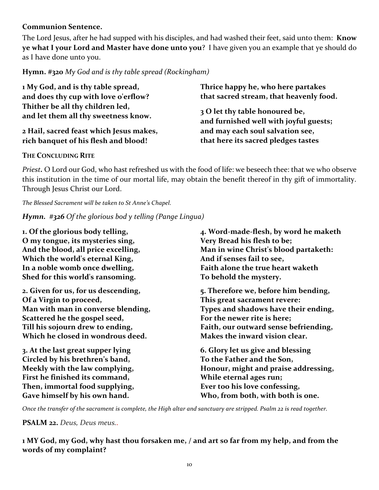#### **Communion Sentence.**

The Lord Jesus, after he had supped with his disciples, and had washed their feet, said unto them: **Know ye what I your Lord and Master have done unto you**? I have given you an example that ye should do as I have done unto you.

**Hymn. #320** *My God and is thy table spread (Rockingham)*

**1 My God, and is thy table spread, and does thy cup with love o'erflow? Thither be all thy children led, and let them all thy sweetness know.**

**2 Hail, sacred feast which Jesus makes, rich banquet of his flesh and blood!**

**Thrice happy he, who here partakes that sacred stream, that heavenly food.**

**3 O let thy table honoured be, and furnished well with joyful guests; and may each soul salvation see, that here its sacred pledges tastes**

#### **THE CONCLUDING RITE**

*Priest.* O Lord our God, who hast refreshed us with the food of life: we beseech thee: that we who observe this institution in the time of our mortal life, may obtain the benefit thereof in thy gift of immortality. Through Jesus Christ our Lord.

*The Blessed Sacrament will be taken to St Anne's Chapel.* 

*Hymn. #326 Of the glorious bod y telling (Pange Lingua)*

**1. Of the glorious body telling, O my tongue, its mysteries sing, And the blood, all price excelling, Which the world's eternal King, In a noble womb once dwelling, Shed for this world's ransoming. 2. Given for us, for us descending, Of a Virgin to proceed, Man with man in converse blending, Scattered he the gospel seed, Till his sojourn drew to ending, Which he closed in wondrous deed. 3. At the last great supper lying Circled by his brethren's band, Meekly with the law complying, First he finished its command, Then, immortal food supplying, Gave himself by his own hand. 4. Word-made-flesh, by word he maketh Very Bread his flesh to be; Man in wine Christ's blood partaketh: And if senses fail to see, Faith alone the true heart waketh To behold the mystery. 5. Therefore we, before him bending, This great sacrament revere: Types and shadows have their ending, For the newer rite is here; Faith, our outward sense befriending, Makes the inward vision clear. 6. Glory let us give and blessing To the Father and the Son, Honour, might and praise addressing, While eternal ages run; Ever too his love confessing, Who, from both, with both is one.** 

Once the transfer of the sacrament is complete, the High altar and sanctuary are stripped. Psalm 22 is read together.

**PSALM 22.** *Deus, Deus meus..*

**1 MY God, my God, why hast thou forsaken me, / and art so far from my help, and from the words of my complaint?**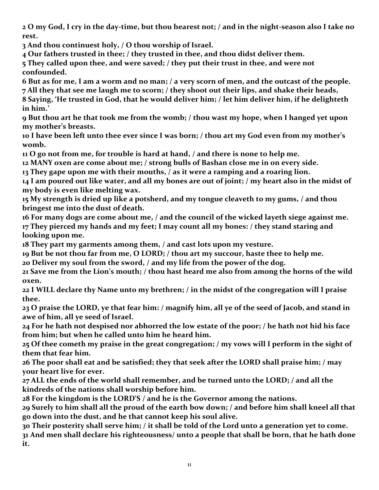**O my God, I cry in the day-time, but thou hearest not; / and in the night-season also I take no rest.**

**And thou continuest holy, / O thou worship of Israel.**

**Our fathers trusted in thee; / they trusted in thee, and thou didst deliver them.**

 **They called upon thee, and were saved; / they put their trust in thee, and were not confounded.**

 **But as for me, I am a worm and no man; / a very scorn of men, and the outcast of the people. All they that see me laugh me to scorn; / they shoot out their lips, and shake their heads, Saying, 'He trusted in God, that he would deliver him; / let him deliver him, if he delighteth** 

**in him.' But thou art he that took me from the womb; / thou wast my hope, when I hanged yet upon** 

**my mother's breasts.**

 **I have been left unto thee ever since I was born; / thou art my God even from my mother's womb.**

**O go not from me, for trouble is hard at hand, / and there is none to help me.**

**MANY oxen are come about me; / strong bulls of Bashan close me in on every side.**

**They gape upon me with their mouths, / as it were a ramping and a roaring lion.**

 **I am poured out like water, and all my bones are out of joint; / my heart also in the midst of my body is even like melting wax.**

 **My strength is dried up like a potsherd, and my tongue cleaveth to my gums, / and thou bringest me into the dust of death.**

 **For many dogs are come about me, / and the council of the wicked layeth siege against me. They pierced my hands and my feet; I may count all my bones: / they stand staring and looking upon me.**

**They part my garments among them, / and cast lots upon my vesture.**

**But be not thou far from me, O LORD; / thou art my succour, haste thee to help me.**

**Deliver my soul from the sword, / and my life from the power of the dog.**

 **Save me from the Lion's mouth; / thou hast heard me also from among the horns of the wild oxen.**

 **I WILL declare thy Name unto my brethren; / in the midst of the congregation will I praise thee.**

 **O praise the LORD, ye that fear him: / magnify him, all ye of the seed of Jacob, and stand in awe of him, all ye seed of Israel.**

 **For he hath not despised nor abhorred the low estate of the poor; / he hath not hid his face from him; but when he called unto him he heard him.**

 **Of thee cometh my praise in the great congregation; / my vows will I perform in the sight of them that fear him.**

 **The poor shall eat and be satisfied; they that seek after the LORD shall praise him; / may your heart live for ever.**

 **ALL the ends of the world shall remember, and be turned unto the LORD; / and all the kindreds of the nations shall worship before him.**

**For the kingdom is the LORD'S / and he is the Governor among the nations.**

 **Surely to him shall all the proud of the earth bow down; / and before him shall kneel all that go down into the dust, and he that cannot keep his soul alive.**

 **Their posterity shall serve him; / it shall be told of the Lord unto a generation yet to come. And men shall declare his righteousness/ unto a people that shall be born, that he hath done it.**